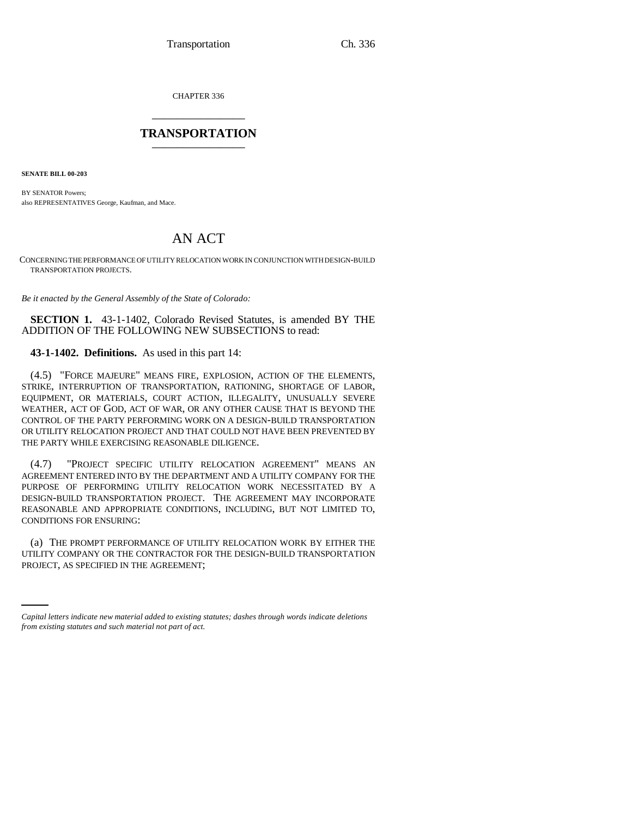CHAPTER 336 \_\_\_\_\_\_\_\_\_\_\_\_\_\_\_

## **TRANSPORTATION** \_\_\_\_\_\_\_\_\_\_\_\_\_\_\_

**SENATE BILL 00-203** 

BY SENATOR Powers; also REPRESENTATIVES George, Kaufman, and Mace.

## AN ACT

CONCERNING THE PERFORMANCE OF UTILITY RELOCATION WORK IN CONJUNCTION WITH DESIGN-BUILD TRANSPORTATION PROJECTS.

*Be it enacted by the General Assembly of the State of Colorado:*

**SECTION 1.** 43-1-1402, Colorado Revised Statutes, is amended BY THE ADDITION OF THE FOLLOWING NEW SUBSECTIONS to read:

**43-1-1402. Definitions.** As used in this part 14:

(4.5) "FORCE MAJEURE" MEANS FIRE, EXPLOSION, ACTION OF THE ELEMENTS, STRIKE, INTERRUPTION OF TRANSPORTATION, RATIONING, SHORTAGE OF LABOR, EQUIPMENT, OR MATERIALS, COURT ACTION, ILLEGALITY, UNUSUALLY SEVERE WEATHER, ACT OF GOD, ACT OF WAR, OR ANY OTHER CAUSE THAT IS BEYOND THE CONTROL OF THE PARTY PERFORMING WORK ON A DESIGN-BUILD TRANSPORTATION OR UTILITY RELOCATION PROJECT AND THAT COULD NOT HAVE BEEN PREVENTED BY THE PARTY WHILE EXERCISING REASONABLE DILIGENCE.

(4.7) "PROJECT SPECIFIC UTILITY RELOCATION AGREEMENT" MEANS AN AGREEMENT ENTERED INTO BY THE DEPARTMENT AND A UTILITY COMPANY FOR THE PURPOSE OF PERFORMING UTILITY RELOCATION WORK NECESSITATED BY A DESIGN-BUILD TRANSPORTATION PROJECT. THE AGREEMENT MAY INCORPORATE REASONABLE AND APPROPRIATE CONDITIONS, INCLUDING, BUT NOT LIMITED TO, CONDITIONS FOR ENSURING:

UTILITY COMPANY OR THE CONTRACTOR FOR THE DESIGN-BUILD TRANSPORTATION (a) THE PROMPT PERFORMANCE OF UTILITY RELOCATION WORK BY EITHER THE PROJECT, AS SPECIFIED IN THE AGREEMENT;

*Capital letters indicate new material added to existing statutes; dashes through words indicate deletions from existing statutes and such material not part of act.*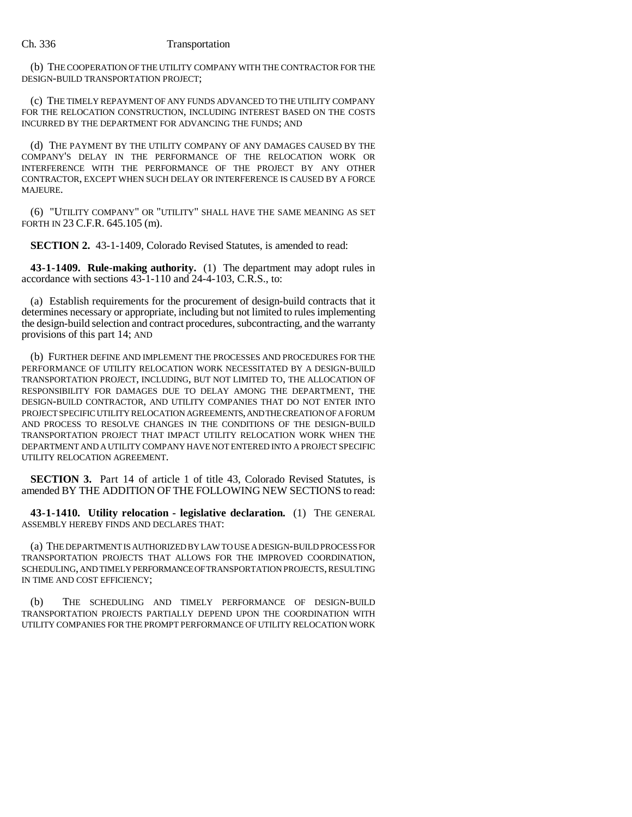## Ch. 336 Transportation

(b) THE COOPERATION OF THE UTILITY COMPANY WITH THE CONTRACTOR FOR THE DESIGN-BUILD TRANSPORTATION PROJECT;

(c) THE TIMELY REPAYMENT OF ANY FUNDS ADVANCED TO THE UTILITY COMPANY FOR THE RELOCATION CONSTRUCTION, INCLUDING INTEREST BASED ON THE COSTS INCURRED BY THE DEPARTMENT FOR ADVANCING THE FUNDS; AND

(d) THE PAYMENT BY THE UTILITY COMPANY OF ANY DAMAGES CAUSED BY THE COMPANY'S DELAY IN THE PERFORMANCE OF THE RELOCATION WORK OR INTERFERENCE WITH THE PERFORMANCE OF THE PROJECT BY ANY OTHER CONTRACTOR, EXCEPT WHEN SUCH DELAY OR INTERFERENCE IS CAUSED BY A FORCE MAJEURE.

(6) "UTILITY COMPANY" OR "UTILITY" SHALL HAVE THE SAME MEANING AS SET FORTH IN 23 C.F.R. 645.105 (m).

**SECTION 2.** 43-1-1409, Colorado Revised Statutes, is amended to read:

**43-1-1409. Rule-making authority.** (1) The department may adopt rules in accordance with sections 43-1-110 and 24-4-103, C.R.S., to:

(a) Establish requirements for the procurement of design-build contracts that it determines necessary or appropriate, including but not limited to rules implementing the design-build selection and contract procedures, subcontracting, and the warranty provisions of this part 14; AND

(b) FURTHER DEFINE AND IMPLEMENT THE PROCESSES AND PROCEDURES FOR THE PERFORMANCE OF UTILITY RELOCATION WORK NECESSITATED BY A DESIGN-BUILD TRANSPORTATION PROJECT, INCLUDING, BUT NOT LIMITED TO, THE ALLOCATION OF RESPONSIBILITY FOR DAMAGES DUE TO DELAY AMONG THE DEPARTMENT, THE DESIGN-BUILD CONTRACTOR, AND UTILITY COMPANIES THAT DO NOT ENTER INTO PROJECT SPECIFIC UTILITY RELOCATION AGREEMENTS, AND THE CREATION OF A FORUM AND PROCESS TO RESOLVE CHANGES IN THE CONDITIONS OF THE DESIGN-BUILD TRANSPORTATION PROJECT THAT IMPACT UTILITY RELOCATION WORK WHEN THE DEPARTMENT AND A UTILITY COMPANY HAVE NOT ENTERED INTO A PROJECT SPECIFIC UTILITY RELOCATION AGREEMENT.

**SECTION 3.** Part 14 of article 1 of title 43, Colorado Revised Statutes, is amended BY THE ADDITION OF THE FOLLOWING NEW SECTIONS to read:

**43-1-1410. Utility relocation - legislative declaration.** (1) THE GENERAL ASSEMBLY HEREBY FINDS AND DECLARES THAT:

(a) THE DEPARTMENT IS AUTHORIZED BY LAW TO USE A DESIGN-BUILD PROCESS FOR TRANSPORTATION PROJECTS THAT ALLOWS FOR THE IMPROVED COORDINATION, SCHEDULING, AND TIMELY PERFORMANCE OF TRANSPORTATION PROJECTS, RESULTING IN TIME AND COST EFFICIENCY;

(b) THE SCHEDULING AND TIMELY PERFORMANCE OF DESIGN-BUILD TRANSPORTATION PROJECTS PARTIALLY DEPEND UPON THE COORDINATION WITH UTILITY COMPANIES FOR THE PROMPT PERFORMANCE OF UTILITY RELOCATION WORK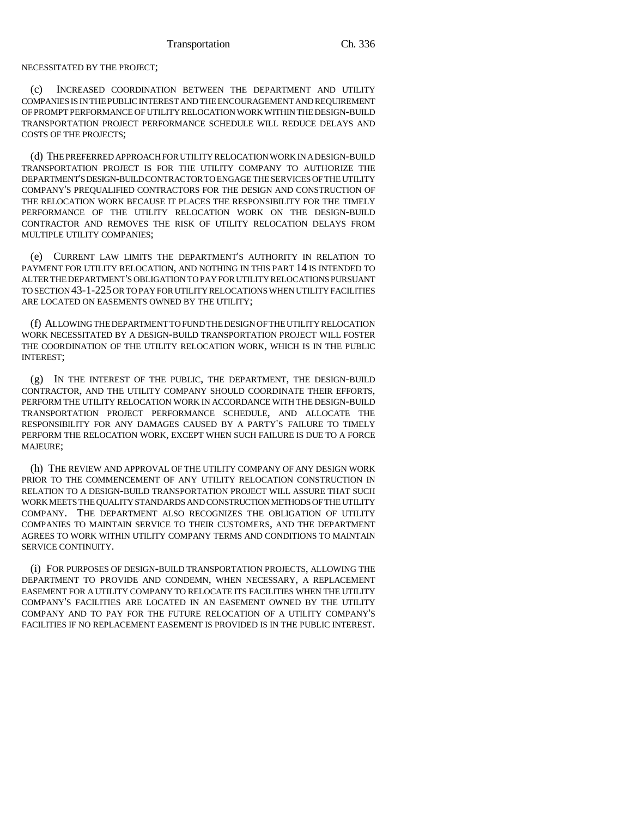NECESSITATED BY THE PROJECT;

(c) INCREASED COORDINATION BETWEEN THE DEPARTMENT AND UTILITY COMPANIES IS IN THE PUBLIC INTEREST AND THE ENCOURAGEMENT AND REQUIREMENT OF PROMPT PERFORMANCE OF UTILITY RELOCATION WORK WITHIN THE DESIGN-BUILD TRANSPORTATION PROJECT PERFORMANCE SCHEDULE WILL REDUCE DELAYS AND COSTS OF THE PROJECTS;

(d) THE PREFERRED APPROACH FOR UTILITY RELOCATION WORK IN A DESIGN-BUILD TRANSPORTATION PROJECT IS FOR THE UTILITY COMPANY TO AUTHORIZE THE DEPARTMENT'S DESIGN-BUILD CONTRACTOR TO ENGAGE THE SERVICES OF THE UTILITY COMPANY'S PREQUALIFIED CONTRACTORS FOR THE DESIGN AND CONSTRUCTION OF THE RELOCATION WORK BECAUSE IT PLACES THE RESPONSIBILITY FOR THE TIMELY PERFORMANCE OF THE UTILITY RELOCATION WORK ON THE DESIGN-BUILD CONTRACTOR AND REMOVES THE RISK OF UTILITY RELOCATION DELAYS FROM MULTIPLE UTILITY COMPANIES;

(e) CURRENT LAW LIMITS THE DEPARTMENT'S AUTHORITY IN RELATION TO PAYMENT FOR UTILITY RELOCATION, AND NOTHING IN THIS PART 14 IS INTENDED TO ALTER THE DEPARTMENT'S OBLIGATION TO PAY FOR UTILITY RELOCATIONS PURSUANT TO SECTION 43-1-225 OR TO PAY FOR UTILITY RELOCATIONS WHEN UTILITY FACILITIES ARE LOCATED ON EASEMENTS OWNED BY THE UTILITY;

(f) ALLOWING THE DEPARTMENT TO FUND THE DESIGN OF THE UTILITY RELOCATION WORK NECESSITATED BY A DESIGN-BUILD TRANSPORTATION PROJECT WILL FOSTER THE COORDINATION OF THE UTILITY RELOCATION WORK, WHICH IS IN THE PUBLIC INTEREST;

(g) IN THE INTEREST OF THE PUBLIC, THE DEPARTMENT, THE DESIGN-BUILD CONTRACTOR, AND THE UTILITY COMPANY SHOULD COORDINATE THEIR EFFORTS, PERFORM THE UTILITY RELOCATION WORK IN ACCORDANCE WITH THE DESIGN-BUILD TRANSPORTATION PROJECT PERFORMANCE SCHEDULE, AND ALLOCATE THE RESPONSIBILITY FOR ANY DAMAGES CAUSED BY A PARTY'S FAILURE TO TIMELY PERFORM THE RELOCATION WORK, EXCEPT WHEN SUCH FAILURE IS DUE TO A FORCE MAJEURE;

(h) THE REVIEW AND APPROVAL OF THE UTILITY COMPANY OF ANY DESIGN WORK PRIOR TO THE COMMENCEMENT OF ANY UTILITY RELOCATION CONSTRUCTION IN RELATION TO A DESIGN-BUILD TRANSPORTATION PROJECT WILL ASSURE THAT SUCH WORK MEETS THE QUALITY STANDARDS AND CONSTRUCTION METHODS OF THE UTILITY COMPANY. THE DEPARTMENT ALSO RECOGNIZES THE OBLIGATION OF UTILITY COMPANIES TO MAINTAIN SERVICE TO THEIR CUSTOMERS, AND THE DEPARTMENT AGREES TO WORK WITHIN UTILITY COMPANY TERMS AND CONDITIONS TO MAINTAIN SERVICE CONTINUITY.

(i) FOR PURPOSES OF DESIGN-BUILD TRANSPORTATION PROJECTS, ALLOWING THE DEPARTMENT TO PROVIDE AND CONDEMN, WHEN NECESSARY, A REPLACEMENT EASEMENT FOR A UTILITY COMPANY TO RELOCATE ITS FACILITIES WHEN THE UTILITY COMPANY'S FACILITIES ARE LOCATED IN AN EASEMENT OWNED BY THE UTILITY COMPANY AND TO PAY FOR THE FUTURE RELOCATION OF A UTILITY COMPANY'S FACILITIES IF NO REPLACEMENT EASEMENT IS PROVIDED IS IN THE PUBLIC INTEREST.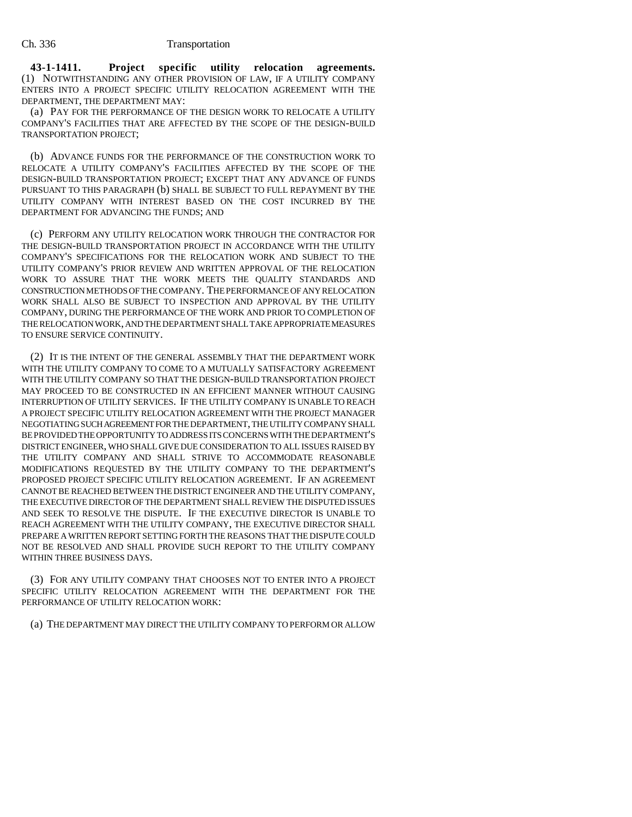**43-1-1411. Project specific utility relocation agreements.** (1) NOTWITHSTANDING ANY OTHER PROVISION OF LAW, IF A UTILITY COMPANY ENTERS INTO A PROJECT SPECIFIC UTILITY RELOCATION AGREEMENT WITH THE DEPARTMENT, THE DEPARTMENT MAY:

(a) PAY FOR THE PERFORMANCE OF THE DESIGN WORK TO RELOCATE A UTILITY COMPANY'S FACILITIES THAT ARE AFFECTED BY THE SCOPE OF THE DESIGN-BUILD TRANSPORTATION PROJECT;

(b) ADVANCE FUNDS FOR THE PERFORMANCE OF THE CONSTRUCTION WORK TO RELOCATE A UTILITY COMPANY'S FACILITIES AFFECTED BY THE SCOPE OF THE DESIGN-BUILD TRANSPORTATION PROJECT; EXCEPT THAT ANY ADVANCE OF FUNDS PURSUANT TO THIS PARAGRAPH (b) SHALL BE SUBJECT TO FULL REPAYMENT BY THE UTILITY COMPANY WITH INTEREST BASED ON THE COST INCURRED BY THE DEPARTMENT FOR ADVANCING THE FUNDS; AND

(c) PERFORM ANY UTILITY RELOCATION WORK THROUGH THE CONTRACTOR FOR THE DESIGN-BUILD TRANSPORTATION PROJECT IN ACCORDANCE WITH THE UTILITY COMPANY'S SPECIFICATIONS FOR THE RELOCATION WORK AND SUBJECT TO THE UTILITY COMPANY'S PRIOR REVIEW AND WRITTEN APPROVAL OF THE RELOCATION WORK TO ASSURE THAT THE WORK MEETS THE QUALITY STANDARDS AND CONSTRUCTION METHODS OF THE COMPANY. THE PERFORMANCE OF ANY RELOCATION WORK SHALL ALSO BE SUBJECT TO INSPECTION AND APPROVAL BY THE UTILITY COMPANY, DURING THE PERFORMANCE OF THE WORK AND PRIOR TO COMPLETION OF THE RELOCATION WORK, AND THE DEPARTMENT SHALL TAKE APPROPRIATE MEASURES TO ENSURE SERVICE CONTINUITY.

(2) IT IS THE INTENT OF THE GENERAL ASSEMBLY THAT THE DEPARTMENT WORK WITH THE UTILITY COMPANY TO COME TO A MUTUALLY SATISFACTORY AGREEMENT WITH THE UTILITY COMPANY SO THAT THE DESIGN-BUILD TRANSPORTATION PROJECT MAY PROCEED TO BE CONSTRUCTED IN AN EFFICIENT MANNER WITHOUT CAUSING INTERRUPTION OF UTILITY SERVICES. IF THE UTILITY COMPANY IS UNABLE TO REACH A PROJECT SPECIFIC UTILITY RELOCATION AGREEMENT WITH THE PROJECT MANAGER NEGOTIATING SUCH AGREEMENT FOR THE DEPARTMENT, THE UTILITY COMPANY SHALL BE PROVIDED THE OPPORTUNITY TO ADDRESS ITS CONCERNS WITH THE DEPARTMENT'S DISTRICT ENGINEER, WHO SHALL GIVE DUE CONSIDERATION TO ALL ISSUES RAISED BY THE UTILITY COMPANY AND SHALL STRIVE TO ACCOMMODATE REASONABLE MODIFICATIONS REQUESTED BY THE UTILITY COMPANY TO THE DEPARTMENT'S PROPOSED PROJECT SPECIFIC UTILITY RELOCATION AGREEMENT. IF AN AGREEMENT CANNOT BE REACHED BETWEEN THE DISTRICT ENGINEER AND THE UTILITY COMPANY, THE EXECUTIVE DIRECTOR OF THE DEPARTMENT SHALL REVIEW THE DISPUTED ISSUES AND SEEK TO RESOLVE THE DISPUTE. IF THE EXECUTIVE DIRECTOR IS UNABLE TO REACH AGREEMENT WITH THE UTILITY COMPANY, THE EXECUTIVE DIRECTOR SHALL PREPARE A WRITTEN REPORT SETTING FORTH THE REASONS THAT THE DISPUTE COULD NOT BE RESOLVED AND SHALL PROVIDE SUCH REPORT TO THE UTILITY COMPANY WITHIN THREE BUSINESS DAYS.

(3) FOR ANY UTILITY COMPANY THAT CHOOSES NOT TO ENTER INTO A PROJECT SPECIFIC UTILITY RELOCATION AGREEMENT WITH THE DEPARTMENT FOR THE PERFORMANCE OF UTILITY RELOCATION WORK:

(a) THE DEPARTMENT MAY DIRECT THE UTILITY COMPANY TO PERFORM OR ALLOW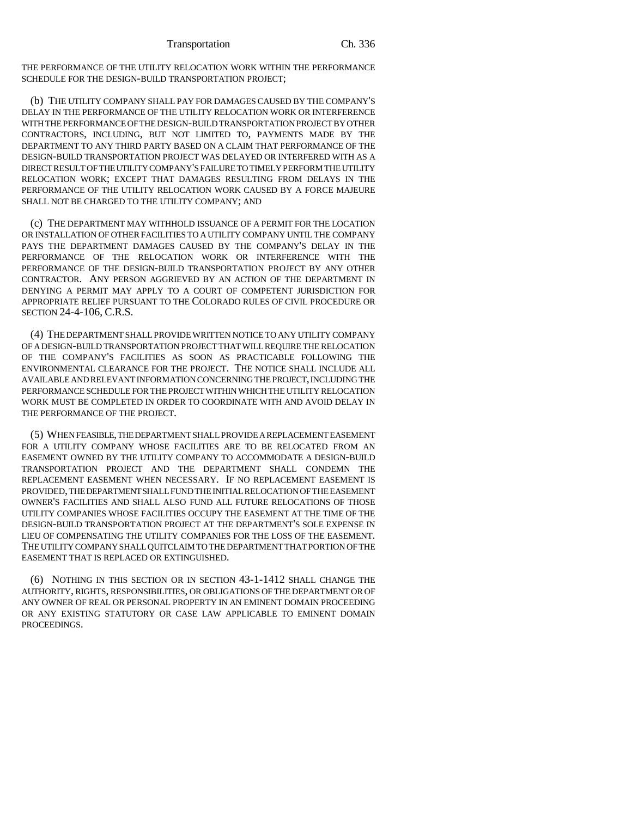THE PERFORMANCE OF THE UTILITY RELOCATION WORK WITHIN THE PERFORMANCE SCHEDULE FOR THE DESIGN-BUILD TRANSPORTATION PROJECT;

(b) THE UTILITY COMPANY SHALL PAY FOR DAMAGES CAUSED BY THE COMPANY'S DELAY IN THE PERFORMANCE OF THE UTILITY RELOCATION WORK OR INTERFERENCE WITH THE PERFORMANCE OF THE DESIGN-BUILD TRANSPORTATION PROJECT BY OTHER CONTRACTORS, INCLUDING, BUT NOT LIMITED TO, PAYMENTS MADE BY THE DEPARTMENT TO ANY THIRD PARTY BASED ON A CLAIM THAT PERFORMANCE OF THE DESIGN-BUILD TRANSPORTATION PROJECT WAS DELAYED OR INTERFERED WITH AS A DIRECT RESULT OF THE UTILITY COMPANY'S FAILURE TO TIMELY PERFORM THE UTILITY RELOCATION WORK; EXCEPT THAT DAMAGES RESULTING FROM DELAYS IN THE PERFORMANCE OF THE UTILITY RELOCATION WORK CAUSED BY A FORCE MAJEURE SHALL NOT BE CHARGED TO THE UTILITY COMPANY; AND

(c) THE DEPARTMENT MAY WITHHOLD ISSUANCE OF A PERMIT FOR THE LOCATION OR INSTALLATION OF OTHER FACILITIES TO A UTILITY COMPANY UNTIL THE COMPANY PAYS THE DEPARTMENT DAMAGES CAUSED BY THE COMPANY'S DELAY IN THE PERFORMANCE OF THE RELOCATION WORK OR INTERFERENCE WITH THE PERFORMANCE OF THE DESIGN-BUILD TRANSPORTATION PROJECT BY ANY OTHER CONTRACTOR. ANY PERSON AGGRIEVED BY AN ACTION OF THE DEPARTMENT IN DENYING A PERMIT MAY APPLY TO A COURT OF COMPETENT JURISDICTION FOR APPROPRIATE RELIEF PURSUANT TO THE COLORADO RULES OF CIVIL PROCEDURE OR SECTION 24-4-106, C.R.S.

(4) THE DEPARTMENT SHALL PROVIDE WRITTEN NOTICE TO ANY UTILITY COMPANY OF A DESIGN-BUILD TRANSPORTATION PROJECT THAT WILL REQUIRE THE RELOCATION OF THE COMPANY'S FACILITIES AS SOON AS PRACTICABLE FOLLOWING THE ENVIRONMENTAL CLEARANCE FOR THE PROJECT. THE NOTICE SHALL INCLUDE ALL AVAILABLE AND RELEVANT INFORMATION CONCERNING THE PROJECT, INCLUDING THE PERFORMANCE SCHEDULE FOR THE PROJECT WITHIN WHICH THE UTILITY RELOCATION WORK MUST BE COMPLETED IN ORDER TO COORDINATE WITH AND AVOID DELAY IN THE PERFORMANCE OF THE PROJECT.

(5) WHEN FEASIBLE, THE DEPARTMENT SHALL PROVIDE A REPLACEMENT EASEMENT FOR A UTILITY COMPANY WHOSE FACILITIES ARE TO BE RELOCATED FROM AN EASEMENT OWNED BY THE UTILITY COMPANY TO ACCOMMODATE A DESIGN-BUILD TRANSPORTATION PROJECT AND THE DEPARTMENT SHALL CONDEMN THE REPLACEMENT EASEMENT WHEN NECESSARY. IF NO REPLACEMENT EASEMENT IS PROVIDED, THE DEPARTMENT SHALL FUND THE INITIAL RELOCATION OF THE EASEMENT OWNER'S FACILITIES AND SHALL ALSO FUND ALL FUTURE RELOCATIONS OF THOSE UTILITY COMPANIES WHOSE FACILITIES OCCUPY THE EASEMENT AT THE TIME OF THE DESIGN-BUILD TRANSPORTATION PROJECT AT THE DEPARTMENT'S SOLE EXPENSE IN LIEU OF COMPENSATING THE UTILITY COMPANIES FOR THE LOSS OF THE EASEMENT. THE UTILITY COMPANY SHALL QUITCLAIM TO THE DEPARTMENT THAT PORTION OF THE EASEMENT THAT IS REPLACED OR EXTINGUISHED.

(6) NOTHING IN THIS SECTION OR IN SECTION 43-1-1412 SHALL CHANGE THE AUTHORITY, RIGHTS, RESPONSIBILITIES, OR OBLIGATIONS OF THE DEPARTMENT OR OF ANY OWNER OF REAL OR PERSONAL PROPERTY IN AN EMINENT DOMAIN PROCEEDING OR ANY EXISTING STATUTORY OR CASE LAW APPLICABLE TO EMINENT DOMAIN PROCEEDINGS.